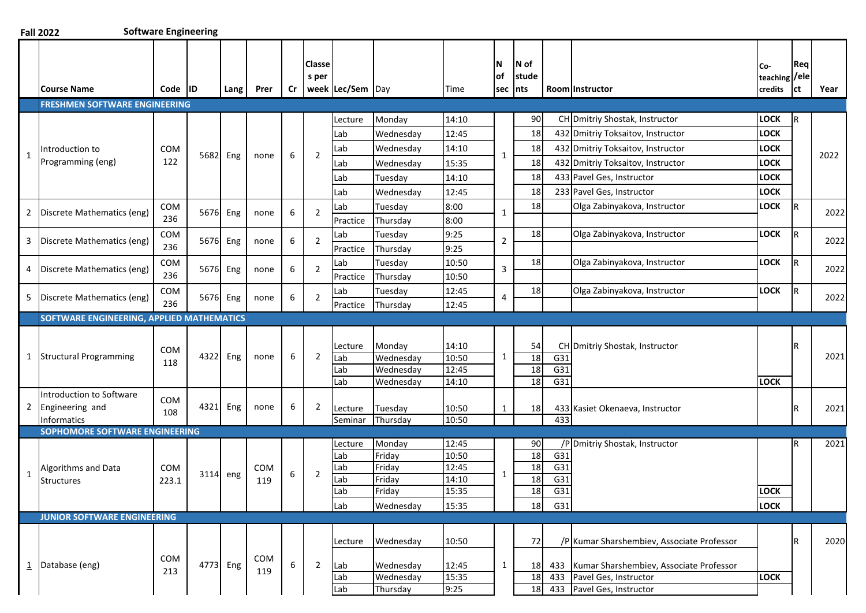| $\mathbf{1}$            | <b>Course Name</b><br><b>FRESHMEN SOFTWARE ENGINEERING</b> | Code<br><b>IID</b> |                      |      |            |        |                                  |                                           |                                                       |                                       |                     |                             |            |                                                                                              |                                 |                                           |                |
|-------------------------|------------------------------------------------------------|--------------------|----------------------|------|------------|--------|----------------------------------|-------------------------------------------|-------------------------------------------------------|---------------------------------------|---------------------|-----------------------------|------------|----------------------------------------------------------------------------------------------|---------------------------------|-------------------------------------------|----------------|
|                         |                                                            |                    |                      | Lang | Prer       | Cr     | Classe<br>s per                  | week Lec/Sem Day                          |                                                       | Time                                  | N<br>lof<br>sec     | N of<br>stude<br><b>nts</b> |            | Room Instructor                                                                              | Co-<br>teaching /ele<br>credits | Req<br>ct                                 | Year           |
|                         |                                                            |                    |                      |      |            |        |                                  |                                           |                                                       |                                       |                     |                             |            |                                                                                              |                                 |                                           |                |
|                         |                                                            |                    |                      |      |            |        |                                  | Lecture                                   | Monday                                                | 14:10                                 |                     | 90                          |            | CH Dmitriy Shostak, Instructor                                                               | <b>LOCK</b>                     | R                                         |                |
|                         |                                                            |                    |                      |      |            |        |                                  | Lab                                       | Wednesday                                             | 12:45                                 |                     | 18                          |            | 432 Dmitriy Toksaitov, Instructor                                                            | <b>LOCK</b>                     |                                           |                |
|                         | Introduction to                                            | COM                |                      |      |            |        |                                  | Lab                                       | Wednesday                                             | 14:10                                 |                     | 18                          |            | 432 Dmitriy Toksaitov, Instructor                                                            | <b>LOCK</b>                     |                                           |                |
|                         | Programming (eng)                                          | 122                | 5682 Eng             |      | none       | 6      | $\overline{2}$                   | Lab                                       | Wednesday                                             | 15:35                                 | $\mathbf{1}$        | 18                          |            | 432 Dmitriy Toksaitov, Instructor                                                            | <b>LOCK</b>                     |                                           | 2022           |
|                         |                                                            |                    |                      |      |            |        |                                  | Lab                                       | Tuesdav                                               | 14:10                                 |                     | 18                          |            | 433 Pavel Ges, Instructor                                                                    | <b>LOCK</b>                     |                                           |                |
|                         |                                                            |                    |                      |      |            |        |                                  | Lab                                       | Wednesday                                             | 12:45                                 |                     | 18                          |            | 233 Pavel Ges, Instructor                                                                    | <b>LOCK</b>                     |                                           |                |
|                         |                                                            |                    |                      |      |            |        |                                  |                                           |                                                       |                                       |                     |                             |            |                                                                                              |                                 | <sup>R</sup>                              |                |
| $\overline{2}$          |                                                            | 236                |                      |      | none       |        |                                  |                                           |                                                       |                                       | $\mathbf{1}$        |                             |            |                                                                                              |                                 |                                           | 2022           |
|                         |                                                            |                    |                      |      |            |        |                                  |                                           |                                                       |                                       |                     |                             |            |                                                                                              |                                 |                                           |                |
|                         | Discrete Mathematics (eng)<br>236                          |                    |                      |      | none       |        |                                  |                                           |                                                       |                                       |                     |                             |            |                                                                                              |                                 |                                           | 2022           |
| 3                       |                                                            |                    |                      |      |            |        |                                  |                                           |                                                       |                                       |                     | 18                          |            |                                                                                              |                                 | l R                                       |                |
|                         |                                                            |                    |                      |      |            |        |                                  |                                           |                                                       |                                       |                     |                             |            |                                                                                              |                                 |                                           | 2022           |
| $\overline{4}$          | Discrete Mathematics (eng)                                 | COM<br>236         | 5676 Eng             |      | none       | 6      | 2                                | Practice                                  |                                                       |                                       |                     |                             |            |                                                                                              |                                 |                                           |                |
|                         |                                                            |                    |                      |      |            |        |                                  | Lab                                       | Thursday<br>Tuesday                                   | 10:50<br>12:45                        |                     | 18                          |            |                                                                                              | <b>LOCK</b>                     | R.                                        |                |
| 5                       | Discrete Mathematics (eng)                                 | COM<br>236         | 5676 Eng             |      | none       | 6      | $\overline{2}$                   | Practice                                  | Thursday                                              | 12:45                                 | 4                   |                             |            | Olga Zabinyakova, Instructor                                                                 |                                 |                                           | 2022           |
|                         | SOFTWARE ENGINEERING, APPLIED MATHEMATICS                  |                    |                      |      |            |        |                                  |                                           |                                                       |                                       |                     |                             |            |                                                                                              |                                 |                                           |                |
|                         |                                                            |                    |                      |      |            |        |                                  |                                           |                                                       |                                       |                     |                             |            |                                                                                              |                                 |                                           |                |
|                         |                                                            |                    |                      |      |            |        |                                  | Lecture                                   | Monday                                                | 14:10                                 |                     | 54                          |            | CH Dmitriy Shostak, Instructor                                                               |                                 | R                                         |                |
| 1                       | <b>Structural Programming</b>                              | COM                | 4322                 | Eng  | none       | 6      | $\overline{2}$                   | Lab                                       | Wednesday                                             | 10:50                                 | $\mathbf{1}$        | 18                          | G31        |                                                                                              |                                 |                                           | 2021           |
|                         |                                                            | 118                |                      |      |            |        |                                  | Lab                                       | Wednesday                                             | 12:45                                 |                     | 18                          | G31        |                                                                                              |                                 |                                           |                |
|                         |                                                            |                    |                      |      |            |        |                                  | Lab                                       | Wednesday                                             | 14:10                                 |                     | 18                          | G31        |                                                                                              | <b>LOCK</b>                     |                                           |                |
|                         | Introduction to Software                                   | COM                |                      |      |            |        |                                  |                                           |                                                       |                                       |                     |                             |            |                                                                                              |                                 |                                           |                |
| $\overline{2}$          | Engineering and                                            | 108                | 4321                 | Eng  | none       | 6      | 2                                | Lecture                                   | Tuesday                                               | 10:50                                 | $\mathbf{1}$        | <b>18</b>                   |            | 433 Kasiet Okenaeva, Instructor                                                              |                                 | l R                                       | 2021           |
|                         | Informatics<br>SOPHOMORE SOFTWARE ENGINEERING              |                    |                      |      |            |        |                                  | Seminar                                   | Thursday                                              | 10:50                                 |                     |                             | 433        |                                                                                              |                                 |                                           |                |
|                         |                                                            |                    |                      |      |            |        |                                  | Lecture                                   | Monday                                                | 12:45                                 |                     | 90                          |            | /P Dmitriy Shostak, Instructor                                                               |                                 | R                                         | 2021           |
|                         |                                                            |                    |                      |      |            |        |                                  | Lab                                       | Friday                                                | 10:50                                 |                     | 18                          | G31        |                                                                                              |                                 |                                           |                |
| 1                       | Algorithms and Data                                        | <b>COM</b>         |                      |      | <b>COM</b> | 6      | 2                                | Lab                                       | Friday                                                | 12:45                                 | $\mathbf{1}$        | 18                          | G31        |                                                                                              |                                 |                                           |                |
|                         | <b>Structures</b>                                          | 223.1              | 3114 eng             |      | 119        |        |                                  | Lab                                       | Friday                                                | 14:10                                 |                     | 18                          | G31        |                                                                                              |                                 |                                           |                |
|                         |                                                            |                    |                      |      |            |        |                                  | Lab                                       | Friday                                                | 15:35                                 |                     | 18                          | G31        |                                                                                              | <b>LOCK</b>                     |                                           |                |
|                         |                                                            |                    |                      |      |            |        |                                  | Lab                                       | Wednesday                                             | 15:35                                 |                     | 18                          | G31        |                                                                                              | <b>LOCK</b>                     |                                           |                |
|                         | <b>JUNIOR SOFTWARE ENGINEERING</b>                         |                    |                      |      |            |        |                                  |                                           |                                                       |                                       |                     |                             |            |                                                                                              |                                 |                                           |                |
|                         |                                                            |                    |                      |      |            |        |                                  | Lecture                                   | Wednesday                                             | 10:50                                 |                     | 72                          |            | /P Kumar Sharshembiev, Associate Professor                                                   |                                 | R                                         | 2020           |
|                         |                                                            | COM                |                      |      | COM        |        |                                  |                                           |                                                       |                                       |                     |                             |            |                                                                                              |                                 |                                           |                |
| $\overline{\mathbf{1}}$ | Database (eng)                                             | 213                | 4773 Eng             |      | 119        | 6      | $\overline{2}$                   | Lab<br>Lab                                | Wednesday<br>Wednesday                                | 12:45<br>15:35                        | $\mathbf{1}$        | 18<br>18                    | 433<br>433 | Kumar Sharshembiev, Associate Professor<br>Pavel Ges, Instructor                             | <b>LOCK</b>                     |                                           |                |
|                         | Discrete Mathematics (eng)                                 | COM<br>COM         | 5676 Eng<br>5676 Eng |      |            | 6<br>6 | $\overline{2}$<br>$\overline{2}$ | Lab<br>Practice<br>Lab<br>Practice<br>Lab | Tuesday<br>Thursday<br>Tuesday<br>Thursday<br>Tuesday | 8:00<br>8:00<br>9:25<br>9:25<br>10:50 | $\overline{2}$<br>3 | 18<br>18                    |            | Olga Zabinyakova, Instructor<br>Olga Zabinyakova, Instructor<br>Olga Zabinyakova, Instructor |                                 | <b>LOCK</b><br><b>LOCK</b><br><b>LOCK</b> | $\overline{R}$ |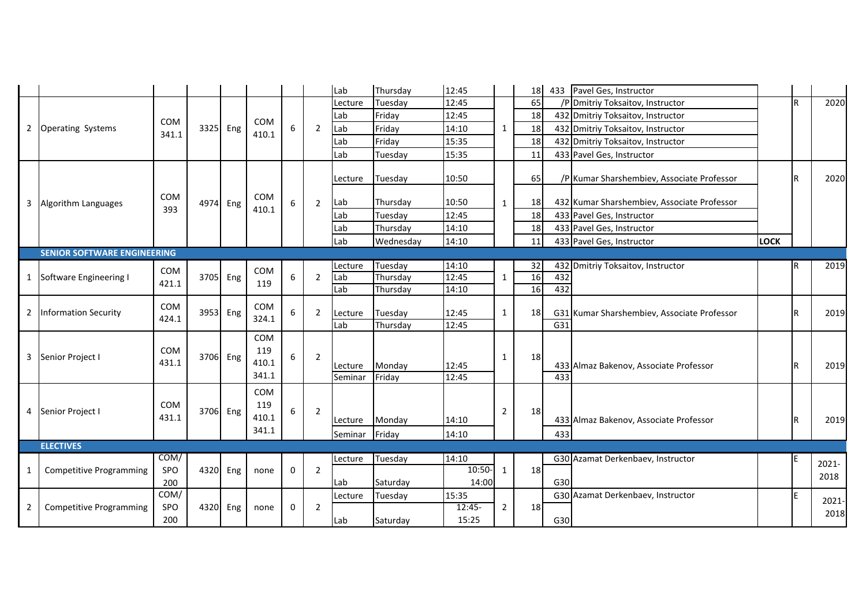|                |                                    |                     |          |     |                                     |   |                | Lab                | Thursday            | 12:45                      |                | 18 |     | 433 Pavel Ges, Instructor                   |             |              |               |
|----------------|------------------------------------|---------------------|----------|-----|-------------------------------------|---|----------------|--------------------|---------------------|----------------------------|----------------|----|-----|---------------------------------------------|-------------|--------------|---------------|
|                | <b>Operating Systems</b>           |                     |          |     |                                     |   |                | Lecture            | Tuesday             | 12:45                      | 1              | 65 |     | /P Dmitriy Toksaitov, Instructor            |             | $\mathsf{R}$ | 2020          |
| $\overline{2}$ |                                    |                     |          |     |                                     |   |                | Lab                | Friday              | 12:45                      |                | 18 |     | 432 Dmitriy Toksaitov, Instructor           |             |              |               |
|                |                                    | COM<br>341.1        | 3325     | Eng | COM                                 | 6 | $\overline{2}$ | Lab                | Friday              | 14:10                      |                | 18 |     | 432 Dmitriy Toksaitov, Instructor           |             |              |               |
|                |                                    |                     |          |     | 410.1                               |   |                | Lab                | Friday              | 15:35                      |                | 18 |     | 432 Dmitriy Toksaitov, Instructor           |             |              |               |
|                |                                    |                     |          |     |                                     |   |                | Lab                | Tuesday             | 15:35                      |                | 11 |     | 433 Pavel Ges, Instructor                   |             |              |               |
|                |                                    |                     |          |     |                                     |   |                | Lecture            | Tuesday             | 10:50                      |                | 65 |     | /P Kumar Sharshembiev, Associate Professor  |             | R            | 2020          |
| 3              | Algorithm Languages                | COM                 | 4974 Eng |     | COM                                 | 6 | $\overline{2}$ | Lab                | Thursday            | 10:50                      | $\mathbf{1}$   | 18 |     | 432 Kumar Sharshembiev, Associate Professor |             |              |               |
|                |                                    | 393                 |          |     | 410.1                               |   |                | Lab                | Tuesday             | 12:45                      |                | 18 |     | 433 Pavel Ges, Instructor                   |             |              |               |
|                |                                    |                     |          |     |                                     |   |                | Lab                | Thursday            | 14:10                      |                | 18 |     | 433 Pavel Ges, Instructor                   | <b>LOCK</b> |              |               |
|                |                                    |                     |          |     |                                     |   |                | Lab                | Wednesday           | 14:10                      |                | 11 |     | 433 Pavel Ges, Instructor                   |             |              |               |
|                | <b>SENIOR SOFTWARE ENGINEERING</b> |                     |          |     |                                     |   |                |                    |                     |                            |                |    |     |                                             |             |              |               |
|                |                                    | <b>COM</b>          |          |     | <b>COM</b>                          |   |                | Lecture            | Tuesday             | 14:10                      |                | 32 |     | 432 Dmitriy Toksaitov, Instructor           |             |              | 2019          |
| 1              | Software Engineering I             | 421.1               | 3705     | Eng | 119                                 | 6 | $\overline{2}$ | Lab                | Thursday            | 12:45                      | 1              | 16 | 432 |                                             |             |              |               |
|                |                                    |                     |          |     |                                     |   |                | Lab                | Thursday            | 14:10                      |                | 16 | 432 |                                             |             |              |               |
| $\overline{2}$ | <b>Information Security</b>        | COM                 | 3953 Eng |     | COM                                 | 6 | 2              | Lecture            | Tuesday             | 12:45                      | 1              | 18 |     | G31 Kumar Sharshembiev, Associate Professor |             | R            | 2019          |
|                |                                    | 424.1               |          |     | 324.1                               |   |                | Lab                | Thursday            | 12:45                      |                |    | G31 |                                             |             |              |               |
| 3              | Senior Project I                   | <b>COM</b><br>431.1 | 3706 Eng |     | COM<br>119<br>410.1<br>341.1        | 6 | $\overline{2}$ | Lecture<br>Seminar | Monday<br>Friday    | 12:45<br>12:45             | 1              | 18 | 433 | 433 Almaz Bakenov, Associate Professor      |             | R            | 2019          |
| 4              | Senior Project I                   | <b>COM</b><br>431.1 | 3706     | Eng | <b>COM</b><br>119<br>410.1<br>341.1 | 6 | $\overline{2}$ | Lecture<br>Seminar | Monday<br>Friday    | 14:10<br>14:10             | $\overline{2}$ | 18 | 433 | 433 Almaz Bakenov, Associate Professor      |             |              | 2019          |
|                | <b>ELECTIVES</b>                   |                     |          |     |                                     |   |                |                    |                     |                            |                |    |     |                                             |             |              |               |
| 1              | <b>Competitive Programming</b>     | COM/<br>SPO<br>200  | 4320     | Eng | none                                | 0 | $\overline{2}$ | Lecture            | Tuesday             | 14:10<br>10:50-            | 1              | 18 | G30 | G30 Azamat Derkenbaev, Instructor           |             |              | 2021-<br>2018 |
|                |                                    | COM/                |          |     |                                     |   |                | lLab               | Saturday            | 14:00                      |                |    |     |                                             |             |              |               |
| $\overline{2}$ | <b>Competitive Programming</b>     | <b>SPO</b><br>200   | 4320     | Eng | none                                | 0 | $\overline{2}$ | Lecture<br>Lab     | Tuesday<br>Saturday | 15:35<br>$12:45-$<br>15:25 | 2              | 18 | G30 | G30 Azamat Derkenbaev, Instructor           |             | E            | 2021-<br>2018 |